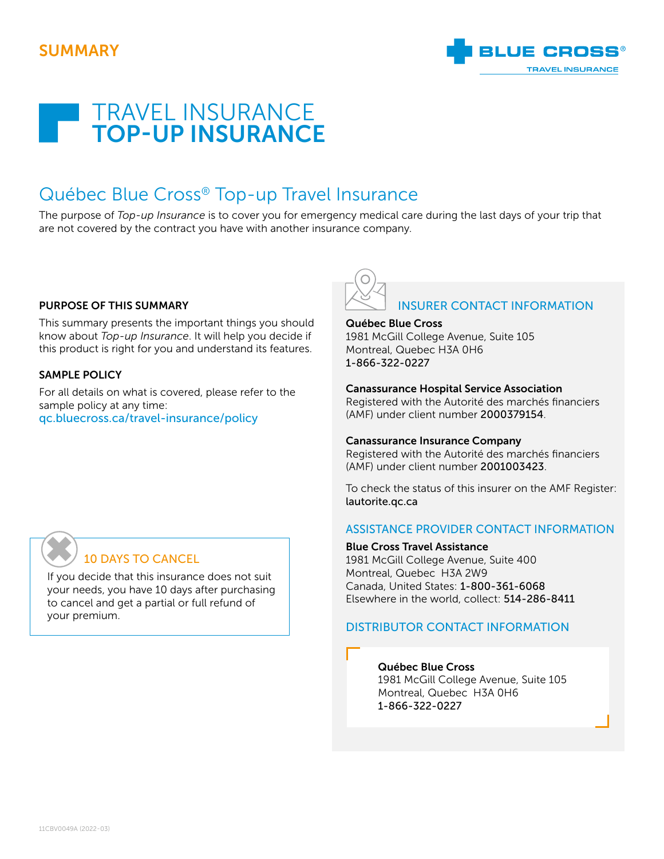



# Québec Blue Cross® Top-up Travel Insurance

The purpose of *Top-up Insurance* is to cover you for emergency medical care during the last days of your trip that are not covered by the contract you have with another insurance company.

#### PURPOSE OF THIS SUMMARY

This summary presents the important things you should know about *Top-up Insurance*. It will help you decide if this product is right for you and understand its features.

#### SAMPLE POLICY

✖

For all details on what is covered, please refer to the sample policy at any time: [qc.bluecross.ca/travel-insurance/policy](https://qc.bluecross.ca/travel-insurance/travel-insurance-101/sample-of-insurance-policies)



#### Québec Blue Cross

1981 McGill College Avenue, Suite 105 Montreal, Quebec H3A 0H6 1-866-322-0227

#### Canassurance Hospital Service Association

Registered with the Autorité des marchés financiers (AMF) under client number 2000379154.

#### Canassurance Insurance Company

Registered with the Autorité des marchés financiers (AMF) under client number 2001003423.

To check the status of this insurer on the AMF Register: [lautorite.qc.ca](https://lautorite.qc.ca)

#### ASSISTANCE PROVIDER CONTACT INFORMATION

Blue Cross Travel Assistance 1981 McGill College Avenue, Suite 400

Montreal, Quebec H3A 2W9 Canada, United States: 1-800-361-6068 Elsewhere in the world, collect: 514-286-8411

#### DISTRIBUTOR CONTACT INFORMATION

Québec Blue Cross 1981 McGill College Avenue, Suite 105 Montreal, Quebec H3A 0H6 1-866-322-0227

### 10 DAYS TO CANCEL

If you decide that this insurance does not suit your needs, you have 10 days after purchasing your needs, you have 10 days after purchas<br>to cancel and get a partial or full refund of<br>your premium.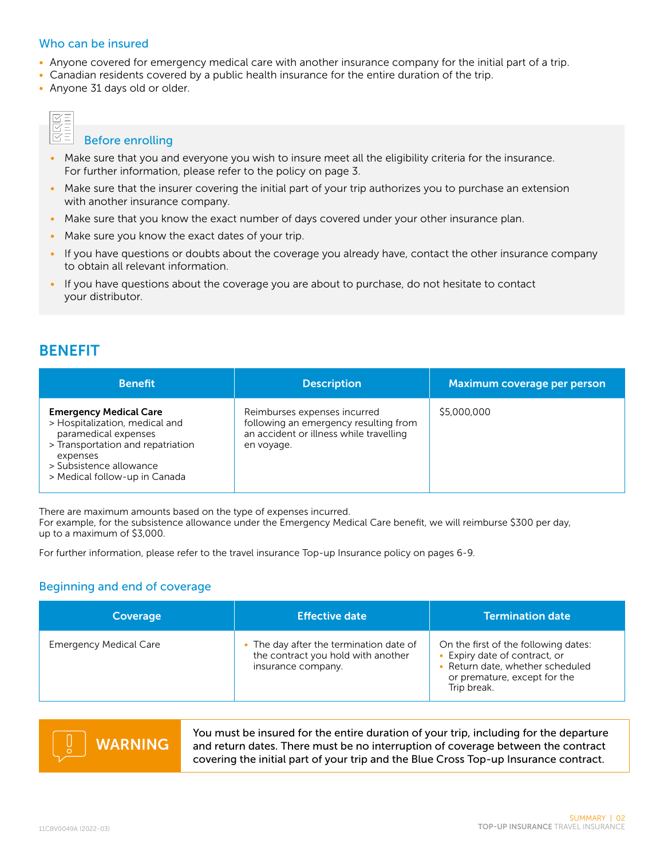#### Who can be insured

- Anyone covered for emergency medical care with another insurance company for the initial part of a trip.
- Canadian residents covered by a public health insurance for the entire duration of the trip.
- Anyone 31 days old or older.

#### Before enrolling

- Make sure that you and everyone you wish to insure meet all the eligibility criteria for the insurance. For further information, please refer to the policy on page 3.
- Make sure that the insurer covering the initial part of your trip authorizes you to purchase an extension with another insurance company.
- Make sure that you know the exact number of days covered under your other insurance plan.
- Make sure you know the exact dates of your trip.
- If you have questions or doubts about the coverage you already have, contact the other insurance company to obtain all relevant information.
- If you have questions about the coverage you are about to purchase, do not hesitate to contact your distributor.

## BENEFIT

| <b>Benefit</b>                                                                                                                                                                                       | <b>Description</b>                                                                                                             | Maximum coverage per person |
|------------------------------------------------------------------------------------------------------------------------------------------------------------------------------------------------------|--------------------------------------------------------------------------------------------------------------------------------|-----------------------------|
| <b>Emergency Medical Care</b><br>> Hospitalization, medical and<br>paramedical expenses<br>> Transportation and repatriation<br>expenses<br>> Subsistence allowance<br>> Medical follow-up in Canada | Reimburses expenses incurred<br>following an emergency resulting from<br>an accident or illness while travelling<br>en voyage. | \$5,000,000                 |

There are maximum amounts based on the type of expenses incurred.

For example, for the subsistence allowance under the Emergency Medical Care benefit, we will reimburse \$300 per day, up to a maximum of \$3,000.

For further information, please refer to the travel insurance Top-up Insurance policy on pages 6-9.

### Beginning and end of coverage

| Coverage                      | <b>Effective date</b>                                                                               | <b>Termination date</b>                                                                                                                                  |
|-------------------------------|-----------------------------------------------------------------------------------------------------|----------------------------------------------------------------------------------------------------------------------------------------------------------|
| <b>Emergency Medical Care</b> | • The day after the termination date of<br>the contract you hold with another<br>insurance company. | On the first of the following dates:<br>• Expiry date of contract, or<br>• Return date, whether scheduled<br>or premature, except for the<br>Trip break. |



You must be insured for the entire duration of your trip, including for the departure and return dates. There must be no interruption of coverage between the contract covering the initial part of your trip and the Blue Cross Top-up Insurance contract.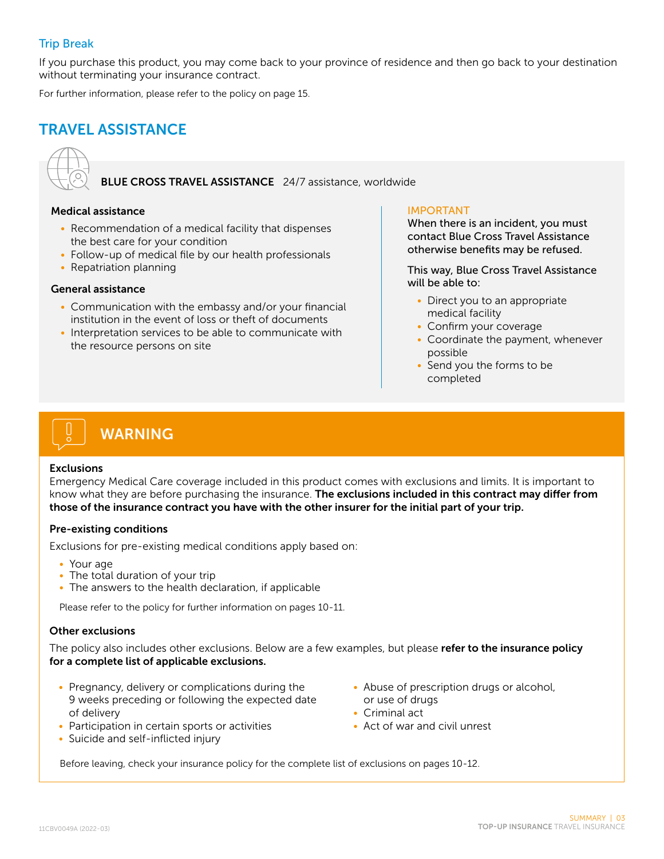### Trip Break

If you purchase this product, you may come back to your province of residence and then go back to your destination without terminating your insurance contract.

For further information, please refer to the policy on page 15.

# TRAVEL ASSISTANCE



BLUE CROSS TRAVEL ASSISTANCE 24/7 assistance, worldwide

#### Medical assistance

- Recommendation of a medical facility that dispenses the best care for your condition
- Follow-up of medical file by our health professionals
- Repatriation planning

#### General assistance

- Communication with the embassy and/or your financial institution in the event of loss or theft of documents
- Interpretation services to be able to communicate with the resource persons on site

#### IMPORTANT

When there is an incident, you must contact Blue Cross Travel Assistance otherwise benefits may be refused.

This way, Blue Cross Travel Assistance will be able to:

- Direct you to an appropriate medical facility
- Confirm your coverage
- Coordinate the payment, whenever possible
- Send you the forms to be completed

# WARNING

#### Exclusions

Emergency Medical Care coverage included in this product comes with exclusions and limits. It is important to know what they are before purchasing the insurance. The exclusions included in this contract may differ from those of the insurance contract you have with the other insurer for the initial part of your trip.

#### Pre-existing conditions

Exclusions for pre-existing medical conditions apply based on:

- Your age
- The total duration of your trip
- The answers to the health declaration, if applicable

Please refer to the policy for further information on pages 10-11.

#### Other exclusions

The policy also includes other exclusions. Below are a few examples, but please refer to the insurance policy for a complete list of applicable exclusions.

- Pregnancy, delivery or complications during the 9 weeks preceding or following the expected date of delivery
- Participation in certain sports or activities
- Suicide and self-inflicted injury
- Abuse of prescription drugs or alcohol, or use of drugs
- Criminal act
- Act of war and civil unrest

Before leaving, check your insurance policy for the complete list of exclusions on pages 10-12.